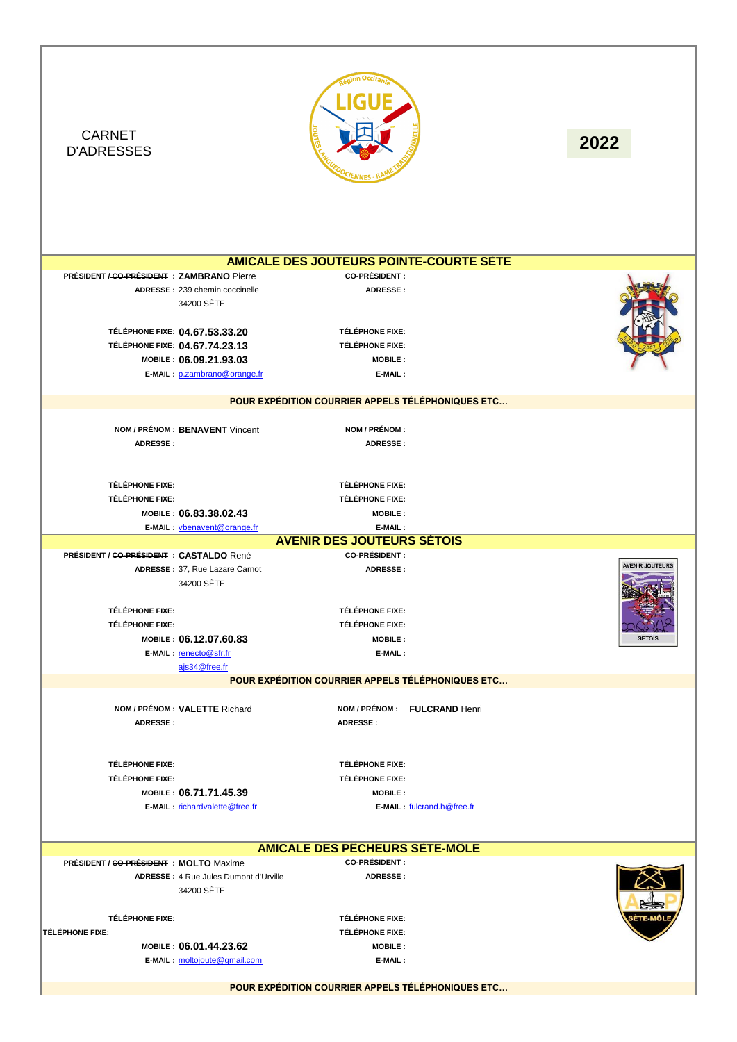

**POUR EXPÉDITION COURRIER APPELS TÉLÉPHONIQUES ETC…**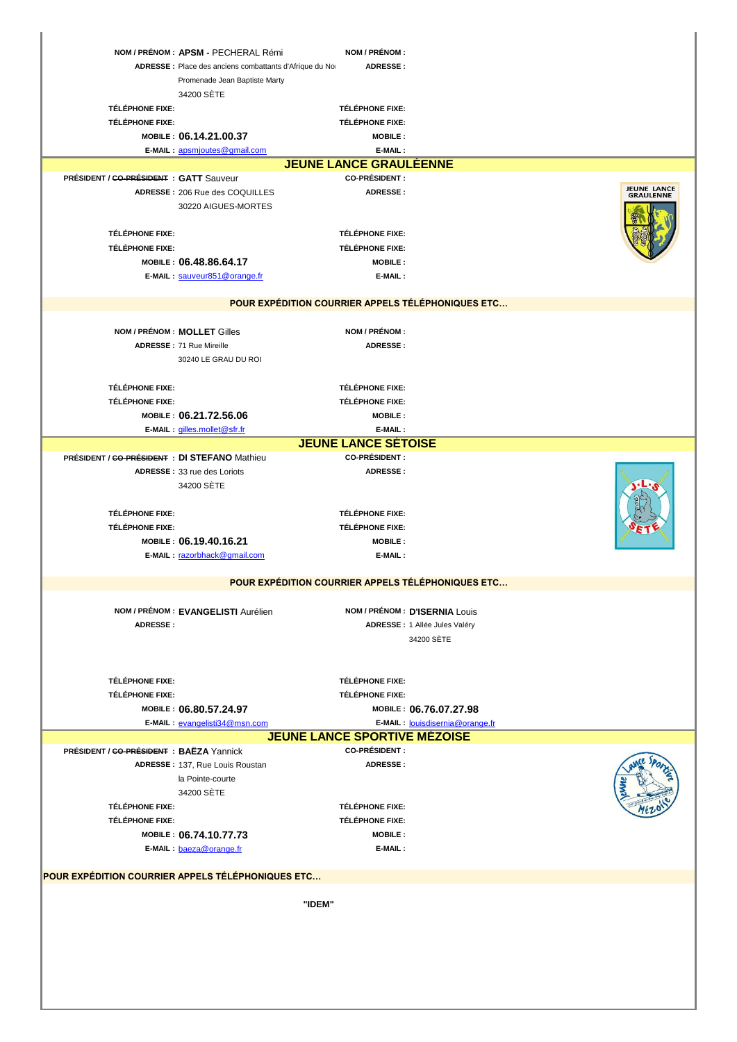|                                                   | NOM / PRÉNOM : APSM - PECHERAL Rémi<br>ADRESSE : Place des anciens combattants d'Afrique du No | NOM / PRÉNOM :<br>ADRESSE:               |                                                   |                                 |  |  |
|---------------------------------------------------|------------------------------------------------------------------------------------------------|------------------------------------------|---------------------------------------------------|---------------------------------|--|--|
|                                                   | Promenade Jean Baptiste Marty                                                                  |                                          |                                                   |                                 |  |  |
|                                                   | 34200 SETE                                                                                     |                                          |                                                   |                                 |  |  |
| <b>TÉLÉPHONE FIXE:</b>                            |                                                                                                | TÉLÉPHONE FIXE:                          |                                                   |                                 |  |  |
| TÉLÉPHONE FIXE:                                   |                                                                                                | <b>TÉLÉPHONE FIXE:</b>                   |                                                   |                                 |  |  |
|                                                   | MOBILE: 06.14.21.00.37<br>E-MAIL: apsmjoutes@gmail.com                                         | <b>MOBILE:</b><br>E-MAIL:                |                                                   |                                 |  |  |
|                                                   |                                                                                                | <b>JEUNE LANCE GRAULEENNE</b>            |                                                   |                                 |  |  |
| PRÉSIDENT / GO-PRÉSIDENT : GATT Sauveur           |                                                                                                | <b>CO-PRÉSIDENT:</b>                     |                                                   |                                 |  |  |
|                                                   | ADRESSE: 206 Rue des COQUILLES                                                                 | ADRESSE:                                 |                                                   | <b>JEUNE LANCE</b><br>GRAULENNE |  |  |
|                                                   | 30220 AIGUES-MORTES                                                                            |                                          |                                                   |                                 |  |  |
| <b>TÉLÉPHONE FIXE:</b>                            |                                                                                                | <b>TÉLÉPHONE FIXE:</b>                   |                                                   |                                 |  |  |
| <b>TÉLÉPHONE FIXE:</b>                            |                                                                                                | <b>TÉLÉPHONE FIXE:</b>                   |                                                   |                                 |  |  |
|                                                   | MOBILE: 06.48.86.64.17                                                                         | <b>MOBILE:</b>                           |                                                   |                                 |  |  |
|                                                   | E-MAIL: sauveur851@orange.fr                                                                   | E-MAIL:                                  |                                                   |                                 |  |  |
|                                                   |                                                                                                |                                          |                                                   |                                 |  |  |
|                                                   |                                                                                                |                                          | POUR EXPÉDITION COURRIER APPELS TÉLÉPHONIQUES ETC |                                 |  |  |
|                                                   | NOM / PRÉNOM : MOLLET Gilles                                                                   | NOM / PRÉNOM :                           |                                                   |                                 |  |  |
|                                                   | ADRESSE: 71 Rue Mireille                                                                       | <b>ADRESSE:</b>                          |                                                   |                                 |  |  |
|                                                   | 30240 LE GRAU DU ROI                                                                           |                                          |                                                   |                                 |  |  |
|                                                   |                                                                                                |                                          |                                                   |                                 |  |  |
| TÉLÉPHONE FIXE:                                   |                                                                                                | TÉLÉPHONE FIXE:                          |                                                   |                                 |  |  |
| <b>TÉLÉPHONE FIXE:</b>                            | MOBILE: 06.21.72.56.06                                                                         | <b>TÉLÉPHONE FIXE:</b><br><b>MOBILE:</b> |                                                   |                                 |  |  |
|                                                   | E-MAIL: gilles.mollet@sfr.fr                                                                   | E-MAIL:                                  |                                                   |                                 |  |  |
|                                                   |                                                                                                | <b>JEUNE LANCE SÉTOISE</b>               |                                                   |                                 |  |  |
| PRÉSIDENT / CO-PRÉSIDENT : DI STEFANO Mathieu     |                                                                                                | <b>CO-PRÉSIDENT :</b>                    |                                                   |                                 |  |  |
|                                                   | ADRESSE: 33 rue des Loriots                                                                    | ADRESSE:                                 |                                                   |                                 |  |  |
|                                                   | 34200 SETE                                                                                     |                                          |                                                   |                                 |  |  |
| <b>TÉLÉPHONE FIXE:</b>                            |                                                                                                | <b>TÉLÉPHONE FIXE:</b>                   |                                                   |                                 |  |  |
| <b>TÉLÉPHONE FIXE:</b>                            |                                                                                                | <b>TÉLÉPHONE FIXE:</b>                   |                                                   |                                 |  |  |
|                                                   | MOBILE: 06.19.40.16.21                                                                         | <b>MOBILE:</b>                           |                                                   |                                 |  |  |
|                                                   | E-MAIL: razorbhack@gmail.com                                                                   | E-MAIL:                                  |                                                   |                                 |  |  |
|                                                   |                                                                                                |                                          | POUR EXPÉDITION COURRIER APPELS TÉLÉPHONIQUES ETC |                                 |  |  |
|                                                   |                                                                                                |                                          |                                                   |                                 |  |  |
|                                                   | NOM / PRÉNOM : EVANGELISTI Aurélien                                                            |                                          | NOM / PRÉNOM : D'ISERNIA Louis                    |                                 |  |  |
| <b>ADRESSE:</b>                                   |                                                                                                |                                          | ADRESSE : 1 Allée Jules Valéry                    |                                 |  |  |
|                                                   |                                                                                                |                                          | 34200 SÈTE                                        |                                 |  |  |
|                                                   |                                                                                                |                                          |                                                   |                                 |  |  |
| TÉLÉPHONE FIXE:                                   |                                                                                                | TÉLÉPHONE FIXE:                          |                                                   |                                 |  |  |
| TÉLÉPHONE FIXE:                                   |                                                                                                | <b>TÉLÉPHONE FIXE:</b>                   |                                                   |                                 |  |  |
|                                                   | MOBILE: 06.80.57.24.97                                                                         |                                          | MOBILE: 06.76.07.27.98                            |                                 |  |  |
|                                                   | E-MAIL: evangelisti34@msn.com                                                                  | <b>JEUNE LANCE SPORTIVE MÉZOISE</b>      | E-MAIL: louisdisernia@orange.fr                   |                                 |  |  |
| PRÉSIDENT / GO-PRÉSIDENT : BAËZA Yannick          |                                                                                                | <b>CO-PRÉSIDENT:</b>                     |                                                   |                                 |  |  |
|                                                   | ADRESSE: 137, Rue Louis Roustan                                                                | <b>ADRESSE:</b>                          |                                                   |                                 |  |  |
|                                                   | la Pointe-courte                                                                               |                                          |                                                   |                                 |  |  |
|                                                   | 34200 SETE                                                                                     |                                          |                                                   |                                 |  |  |
| <b>TÉLÉPHONE FIXE:</b>                            |                                                                                                | TÉLÉPHONE FIXE:                          |                                                   |                                 |  |  |
| TÉLÉPHONE FIXE:                                   |                                                                                                | <b>TÉLÉPHONE FIXE:</b>                   |                                                   |                                 |  |  |
|                                                   | MOBILE: 06.74.10.77.73<br>E-MAIL: baeza@orange.fr                                              | <b>MOBILE:</b><br>E-MAIL:                |                                                   |                                 |  |  |
|                                                   |                                                                                                |                                          |                                                   |                                 |  |  |
| POUR EXPÉDITION COURRIER APPELS TÉLÉPHONIQUES ETC |                                                                                                |                                          |                                                   |                                 |  |  |
|                                                   |                                                                                                |                                          |                                                   |                                 |  |  |
|                                                   | "IDEM"                                                                                         |                                          |                                                   |                                 |  |  |
|                                                   |                                                                                                |                                          |                                                   |                                 |  |  |
|                                                   |                                                                                                |                                          |                                                   |                                 |  |  |
|                                                   |                                                                                                |                                          |                                                   |                                 |  |  |
|                                                   |                                                                                                |                                          |                                                   |                                 |  |  |
|                                                   |                                                                                                |                                          |                                                   |                                 |  |  |
|                                                   |                                                                                                |                                          |                                                   |                                 |  |  |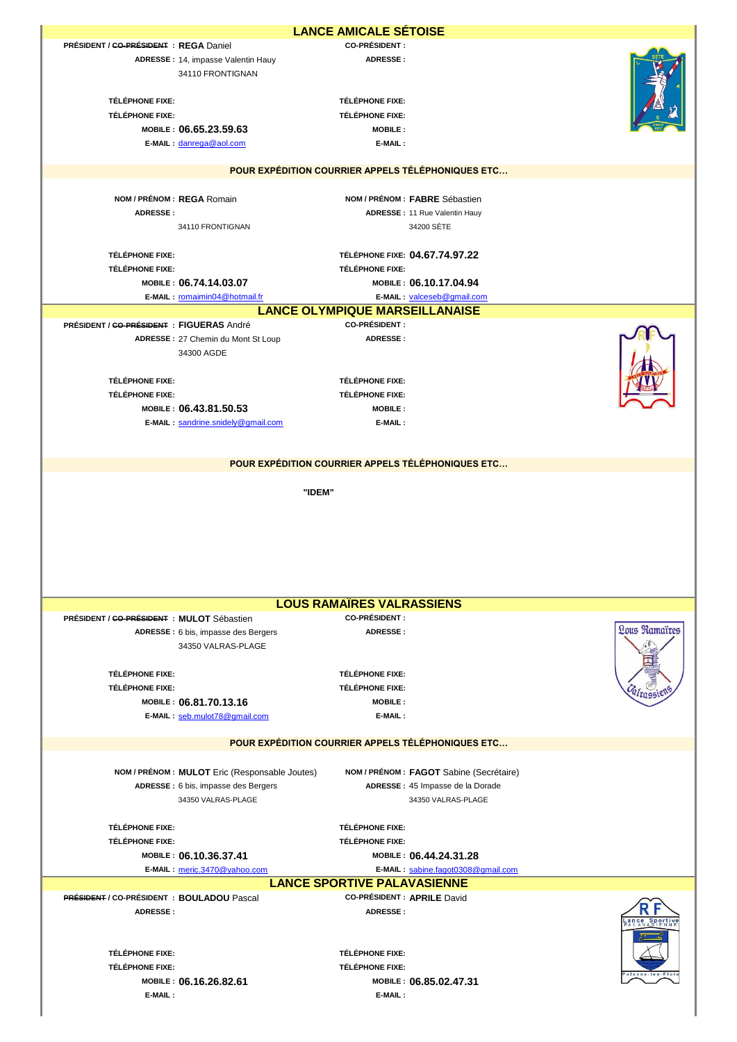|                                                  |                                                        | <b>LANCE AMICALE SÉTOISE</b>                                  |                                                   |               |
|--------------------------------------------------|--------------------------------------------------------|---------------------------------------------------------------|---------------------------------------------------|---------------|
| PRÉSIDENT / CO-PRÉSIDENT : REGA Daniel           |                                                        | <b>CO-PRÉSIDENT:</b>                                          |                                                   |               |
|                                                  | ADRESSE: 14, impasse Valentin Hauy<br>34110 FRONTIGNAN | <b>ADRESSE:</b>                                               |                                                   |               |
| TÉLÉPHONE FIXE:                                  |                                                        | TÉLÉPHONE FIXE:                                               |                                                   |               |
| TÉLÉPHONE FIXE:                                  | MOBILE: 06.65.23.59.63                                 | TÉLÉPHONE FIXE:<br><b>MOBILE:</b>                             |                                                   |               |
|                                                  | E-MAIL: danrega@aol.com                                | E-MAIL:                                                       |                                                   |               |
|                                                  |                                                        |                                                               |                                                   |               |
|                                                  |                                                        |                                                               | POUR EXPÉDITION COURRIER APPELS TÉLÉPHONIQUES ETC |               |
|                                                  | NOM / PRÉNOM : REGA Romain                             |                                                               | NOM / PRÉNOM : FABRE Sébastien                    |               |
| <b>ADRESSE:</b>                                  |                                                        |                                                               | <b>ADRESSE: 11 Rue Valentin Hauy</b>              |               |
|                                                  | 34110 FRONTIGNAN                                       |                                                               | 34200 SÈTE                                        |               |
| <b>TÉLÉPHONE FIXE:</b>                           |                                                        |                                                               | TÉLÉPHONE FIXE: 04.67.74.97.22                    |               |
| TÉLÉPHONE FIXE:                                  |                                                        | <b>TÉLÉPHONE FIXE:</b>                                        |                                                   |               |
|                                                  | MOBILE: 06.74.14.03.07                                 |                                                               | MOBILE: 06.10.17.04.94                            |               |
|                                                  | E-MAIL: romaimin04@hotmail.fr                          |                                                               | E-MAIL: valceseb@gmail.com                        |               |
|                                                  |                                                        | <b>LANCE OLYMPIQUE MARSEILLANAISE</b><br><b>CO-PRÉSIDENT:</b> |                                                   |               |
| <b>PRÉSIDENT / CO-PRÉSIDENT : FIGUERAS André</b> | ADRESSE: 27 Chemin du Mont St Loup                     | ADRESSE:                                                      |                                                   |               |
|                                                  | 34300 AGDE                                             |                                                               |                                                   |               |
|                                                  |                                                        |                                                               |                                                   |               |
| <b>TÉLÉPHONE FIXE:</b>                           |                                                        | <b>TÉLÉPHONE FIXE:</b>                                        |                                                   |               |
| TÉLÉPHONE FIXE:                                  |                                                        | TÉLÉPHONE FIXE:                                               |                                                   |               |
|                                                  | MOBILE: 06.43.81.50.53                                 | <b>MOBILE:</b>                                                |                                                   |               |
|                                                  | E-MAIL: sandrine.snidely@gmail.com                     | E-MAIL:                                                       |                                                   |               |
|                                                  |                                                        |                                                               |                                                   |               |
|                                                  |                                                        |                                                               | POUR EXPÉDITION COURRIER APPELS TÉLÉPHONIQUES ETC |               |
|                                                  |                                                        |                                                               |                                                   |               |
|                                                  |                                                        |                                                               |                                                   |               |
|                                                  |                                                        | "IDEM"                                                        |                                                   |               |
|                                                  |                                                        |                                                               |                                                   |               |
|                                                  |                                                        |                                                               |                                                   |               |
|                                                  |                                                        |                                                               |                                                   |               |
|                                                  |                                                        |                                                               |                                                   |               |
|                                                  |                                                        |                                                               |                                                   |               |
|                                                  |                                                        | <b>LOUS RAMAIRES VALRASSIENS</b>                              |                                                   |               |
| PRÉSIDENT / CO-PRÉSIDENT : MULOT Sébastien       |                                                        | <b>CO-PRÉSIDENT:</b>                                          |                                                   |               |
|                                                  | ADRESSE : 6 bis, impasse des Bergers                   | ADRESSE:                                                      |                                                   | Lous Ramaïres |
|                                                  | 34350 VALRAS-PLAGE                                     |                                                               |                                                   |               |
| <b>TÉLÉPHONE FIXE:</b>                           |                                                        | <b>TÉLÉPHONE FIXE:</b>                                        |                                                   |               |
| TÉLÉPHONE FIXE:                                  |                                                        | TÉLÉPHONE FIXE:                                               |                                                   |               |
|                                                  | MOBILE: 06.81.70.13.16                                 | <b>MOBILE:</b>                                                |                                                   |               |
|                                                  | E-MAIL: seb.mulot78@gmail.com                          | E-MAIL:                                                       |                                                   |               |
|                                                  |                                                        |                                                               |                                                   |               |
|                                                  |                                                        |                                                               | POUR EXPÉDITION COURRIER APPELS TÉLÉPHONIQUES ETC |               |
|                                                  | NOM / PRÉNOM : MULOT Eric (Responsable Joutes)         |                                                               | NOM / PRÉNOM : FAGOT Sabine (Secrétaire)          |               |
|                                                  | ADRESSE : 6 bis, impasse des Bergers                   |                                                               | ADRESSE : 45 Impasse de la Dorade                 |               |
|                                                  | 34350 VALRAS-PLAGE                                     |                                                               | 34350 VALRAS-PLAGE                                |               |
|                                                  |                                                        |                                                               |                                                   |               |
| <b>TÉLÉPHONE FIXE:</b><br><b>TÉLÉPHONE FIXE:</b> |                                                        | <b>TÉLÉPHONE FIXE:</b><br><b>TÉLÉPHONE FIXE:</b>              |                                                   |               |
|                                                  | MOBILE: 06.10.36.37.41                                 |                                                               | MOBILE: 06.44.24.31.28                            |               |
|                                                  | E-MAIL: meric.3470@yahoo.com                           |                                                               | E-MAIL: sabine.fagot0308@gmail.com                |               |
|                                                  |                                                        | <b>LANCE SPORTIVE PALAVASIENNE</b>                            |                                                   |               |
| PRÉSIDENT / CO-PRÉSIDENT : BOULADOU Pascal       |                                                        | <b>CO-PRÉSIDENT : APRILE David</b>                            |                                                   |               |
| ADRESSE:                                         |                                                        | <b>ADRESSE:</b>                                               |                                                   |               |
|                                                  |                                                        |                                                               |                                                   |               |
| TÉLÉPHONE FIXE:                                  |                                                        | TÉLÉPHONE FIXE:                                               |                                                   |               |
| <b>TÉLÉPHONE FIXE:</b>                           |                                                        | TÉLÉPHONE FIXE:                                               |                                                   |               |
|                                                  | MOBILE: 06.16.26.82.61                                 |                                                               | MOBILE: 06.85.02.47.31                            |               |
| E-MAIL:                                          |                                                        | E-MAIL:                                                       |                                                   |               |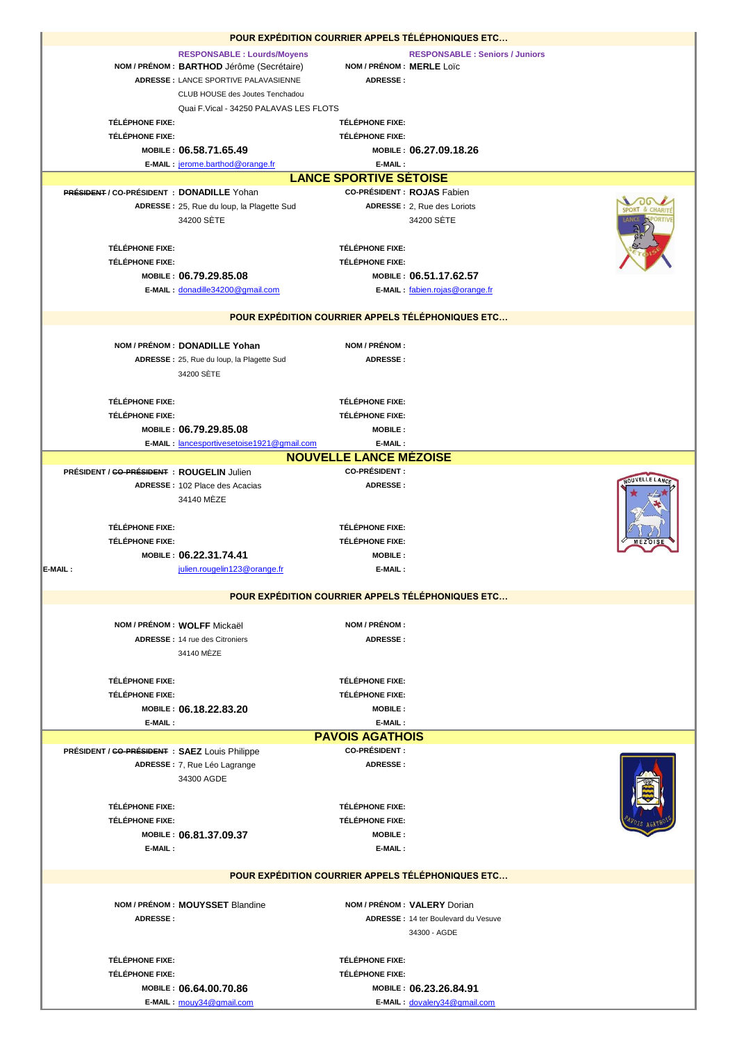| POUR EXPÉDITION COURRIER APPELS TÉLÉPHONIQUES ETC |                                                   |                               |                                       |  |
|---------------------------------------------------|---------------------------------------------------|-------------------------------|---------------------------------------|--|
|                                                   | <b>RESPONSABLE: Lourds/Moyens</b>                 |                               | <b>RESPONSABLE: Seniors / Juniors</b> |  |
|                                                   | NOM / PRÉNOM : BARTHOD Jérôme (Secrétaire)        | NOM / PRÉNOM : MERLE Loïc     |                                       |  |
|                                                   | ADRESSE : LANCE SPORTIVE PALAVASIENNE             | ADRESSE:                      |                                       |  |
|                                                   | CLUB HOUSE des Joutes Tenchadou                   |                               |                                       |  |
|                                                   | Quai F.Vical - 34250 PALAVAS LES FLOTS            |                               |                                       |  |
| TÉLÉPHONE FIXE:                                   |                                                   | <b>TÉLÉPHONE FIXE:</b>        |                                       |  |
| <b>TÉLÉPHONE FIXE:</b>                            |                                                   | <b>TÉLÉPHONE FIXE:</b>        |                                       |  |
|                                                   | MOBILE: 06.58.71.65.49                            |                               | MOBILE: 06.27.09.18.26                |  |
|                                                   | E-MAIL: jerome.barthod@orange.fr                  | E-MAIL:                       |                                       |  |
|                                                   |                                                   | <b>LANCE SPORTIVE SETOISE</b> |                                       |  |
| <b>PRÉSIDENT / CO-PRÉSIDENT : DONADILLE Yohan</b> |                                                   |                               | <b>CO-PRÉSIDENT : ROJAS Fabien</b>    |  |
|                                                   | ADRESSE: 25, Rue du loup, la Plagette Sud         |                               | ADRESSE: 2, Rue des Loriots           |  |
|                                                   | 34200 SETE                                        |                               | 34200 SÈTE                            |  |
|                                                   |                                                   |                               |                                       |  |
| <b>TÉLÉPHONE FIXE:</b>                            |                                                   | <b>TÉLÉPHONE FIXE:</b>        |                                       |  |
| TÉLÉPHONE FIXE:                                   |                                                   | TÉLÉPHONE FIXE:               |                                       |  |
|                                                   | MOBILE: 06.79.29.85.08                            |                               | MOBILE: 06.51.17.62.57                |  |
|                                                   | E-MAIL: donadille34200@gmail.com                  |                               | E-MAIL: fabien.rojas@orange.fr        |  |
|                                                   |                                                   |                               |                                       |  |
|                                                   | POUR EXPÉDITION COURRIER APPELS TÉLÉPHONIQUES ETC |                               |                                       |  |
|                                                   |                                                   | NOM / PRÉNOM :                |                                       |  |
|                                                   | NOM / PRÉNOM : DONADILLE Yohan                    | <b>ADRESSE:</b>               |                                       |  |
|                                                   | ADRESSE: 25, Rue du loup, la Plagette Sud         |                               |                                       |  |
|                                                   | 34200 SÈTE                                        |                               |                                       |  |
|                                                   |                                                   |                               |                                       |  |
| TÉLÉPHONE FIXE:                                   |                                                   | TÉLÉPHONE FIXE:               |                                       |  |
| TÉLÉPHONE FIXE:                                   |                                                   | <b>TÉLÉPHONE FIXE:</b>        |                                       |  |
|                                                   | MOBILE: 06.79.29.85.08                            | <b>MOBILE:</b>                |                                       |  |
|                                                   | E-MAIL: lancesportivesetoise1921@gmail.com        | E-MAIL:                       |                                       |  |
|                                                   |                                                   | <b>NOUVELLE LANCE MÉZOISE</b> |                                       |  |
| PRÉSIDENT / GO-PRÉSIDENT : ROUGELIN Julien        |                                                   | <b>CO-PRÉSIDENT:</b>          |                                       |  |
|                                                   | ADRESSE: 102 Place des Acacias                    | <b>ADRESSE:</b>               |                                       |  |
|                                                   | 34140 MÈZE                                        |                               |                                       |  |
|                                                   |                                                   |                               |                                       |  |
| TÉLÉPHONE FIXE:                                   |                                                   | TÉLÉPHONE FIXE:               |                                       |  |
| <b>TÉLÉPHONE FIXE:</b>                            |                                                   | <b>TÉLÉPHONE FIXE:</b>        |                                       |  |
|                                                   | MOBILE: 06.22.31.74.41                            | <b>MOBILE:</b>                |                                       |  |
| E-MAIL:                                           | julien.rougelin123@orange.fr                      | E-MAIL:                       |                                       |  |
|                                                   | POUR EXPÉDITION COURRIER APPELS TÉLÉPHONIQUES ETC |                               |                                       |  |
|                                                   |                                                   |                               |                                       |  |
|                                                   | NOM / PRÉNOM : WOLFF Mickaël                      | NOM / PRÉNOM :                |                                       |  |
|                                                   | <b>ADRESSE: 14 rue des Citroniers</b>             | <b>ADRESSE:</b>               |                                       |  |
|                                                   | 34140 MEZE                                        |                               |                                       |  |
|                                                   |                                                   |                               |                                       |  |
| <b>TÉLÉPHONE FIXE:</b>                            |                                                   | <b>TÉLÉPHONE FIXE:</b>        |                                       |  |
| TÉLÉPHONE FIXE:                                   |                                                   | <b>TÉLÉPHONE FIXE:</b>        |                                       |  |
|                                                   | MOBILE: 06.18.22.83.20                            | <b>MOBILE:</b>                |                                       |  |
| E-MAIL:                                           |                                                   | E-MAIL:                       |                                       |  |
|                                                   |                                                   | <b>PAVOIS AGATHOIS</b>        |                                       |  |
| PRÉSIDENT / CO-PRÉSIDENT : SAEZ Louis Philippe    |                                                   | <b>CO-PRÉSIDENT:</b>          |                                       |  |
|                                                   | ADRESSE : 7, Rue Léo Lagrange                     | <b>ADRESSE:</b>               |                                       |  |
|                                                   | 34300 AGDE                                        |                               |                                       |  |
|                                                   |                                                   |                               |                                       |  |
| <b>TÉLÉPHONE FIXE:</b>                            |                                                   | <b>TÉLÉPHONE FIXE:</b>        |                                       |  |
| <b>TÉLÉPHONE FIXE:</b>                            |                                                   | <b>TÉLÉPHONE FIXE:</b>        |                                       |  |
|                                                   | MOBILE: 06.81.37.09.37                            | <b>MOBILE:</b>                |                                       |  |
| E-MAIL:                                           |                                                   | E-MAIL:                       |                                       |  |
|                                                   |                                                   |                               |                                       |  |
|                                                   | POUR EXPÉDITION COURRIER APPELS TÉLÉPHONIQUES ETC |                               |                                       |  |
|                                                   |                                                   |                               |                                       |  |
|                                                   | NOM / PRÉNOM : MOUYSSET Blandine                  |                               | NOM / PRÉNOM : VALERY Dorian          |  |
| <b>ADRESSE:</b>                                   |                                                   |                               | ADRESSE: 14 ter Boulevard du Vesuve   |  |
|                                                   |                                                   |                               | 34300 - AGDE                          |  |
|                                                   |                                                   |                               |                                       |  |
| TÉLÉPHONE FIXE:                                   |                                                   | TÉLÉPHONE FIXE:               |                                       |  |
| <b>TÉLÉPHONE FIXE:</b>                            |                                                   | <b>TÉLÉPHONE FIXE:</b>        |                                       |  |
|                                                   | MOBILE: 06.64.00.70.86                            |                               | MOBILE: 06.23.26.84.91                |  |
|                                                   | E-MAIL: mouy34@gmail.com                          |                               | E-MAIL: dovalery34@gmail.com          |  |
|                                                   |                                                   |                               |                                       |  |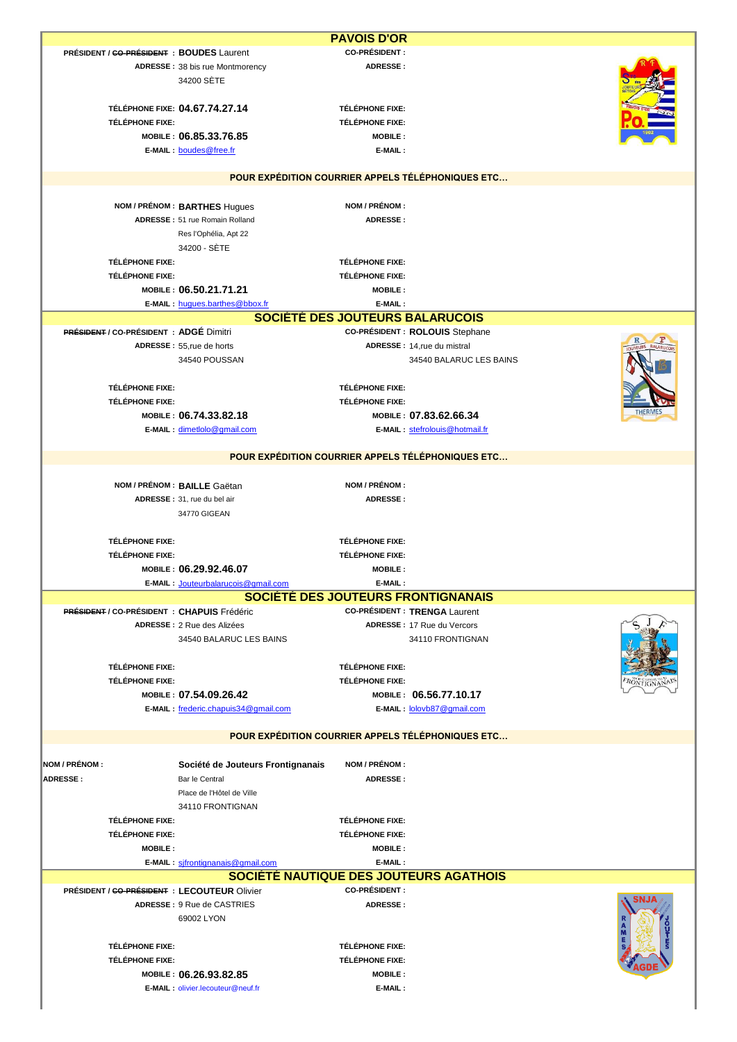|                                                |                                                   | <b>PAVOIS D'OR</b>                      |                                                   |  |
|------------------------------------------------|---------------------------------------------------|-----------------------------------------|---------------------------------------------------|--|
| PRÉSIDENT / GO-PRÉSIDENT : BOUDES Laurent      | ADRESSE: 38 bis rue Montmorency<br>34200 SETE     | <b>CO-PRÉSIDENT:</b><br><b>ADRESSE:</b> |                                                   |  |
|                                                |                                                   |                                         |                                                   |  |
|                                                | TÉLÉPHONE FIXE: 04.67.74.27.14                    | TÉLÉPHONE FIXE:                         |                                                   |  |
| TÉLÉPHONE FIXE:                                |                                                   | <b>TÉLÉPHONE FIXE:</b>                  |                                                   |  |
|                                                | MOBILE: 06.85.33.76.85                            | <b>MOBILE:</b>                          |                                                   |  |
|                                                |                                                   |                                         |                                                   |  |
|                                                | E-MAIL: boudes@free.fr                            | E-MAIL:                                 |                                                   |  |
|                                                |                                                   |                                         |                                                   |  |
|                                                | POUR EXPÉDITION COURRIER APPELS TÉLÉPHONIQUES ETC |                                         |                                                   |  |
|                                                |                                                   |                                         |                                                   |  |
|                                                | NOM / PRÉNOM : BARTHES Hugues                     | NOM / PRÉNOM :                          |                                                   |  |
|                                                | ADRESSE: 51 rue Romain Rolland                    | <b>ADRESSE:</b>                         |                                                   |  |
|                                                | Res l'Ophélia, Apt 22                             |                                         |                                                   |  |
|                                                | 34200 - SÈTE                                      |                                         |                                                   |  |
| TÉLÉPHONE FIXE:                                |                                                   | <b>TÉLÉPHONE FIXE:</b>                  |                                                   |  |
| TÉLÉPHONE FIXE:                                |                                                   | <b>TÉLÉPHONE FIXE:</b>                  |                                                   |  |
|                                                | MOBILE: 06.50.21.71.21                            | <b>MOBILE:</b>                          |                                                   |  |
|                                                |                                                   |                                         |                                                   |  |
|                                                | E-MAIL: hugues.barthes@bbox.fr                    | E-MAIL:                                 |                                                   |  |
|                                                | SOCIÉTÉ DES JOUTEURS BALARUCOIS                   |                                         |                                                   |  |
| <b>PRÉSIDENT / CO-PRÉSIDENT : ADGÉ Dimitri</b> |                                                   |                                         | CO-PRÉSIDENT : ROLOUIS Stephane                   |  |
|                                                | ADRESSE: 55, rue de horts                         |                                         | ADRESSE : 14, rue du mistral                      |  |
|                                                | 34540 POUSSAN                                     |                                         | 34540 BALARUC LES BAINS                           |  |
|                                                |                                                   |                                         |                                                   |  |
| <b>TÉLÉPHONE FIXE:</b>                         |                                                   | <b>TÉLÉPHONE FIXE:</b>                  |                                                   |  |
| <b>TÉLÉPHONE FIXE:</b>                         |                                                   | <b>TÉLÉPHONE FIXE:</b>                  |                                                   |  |
|                                                | MOBILE: 06.74.33.82.18                            |                                         | MOBILE: 07.83.62.66.34                            |  |
|                                                | E-MAIL: dimetlolo@gmail.com                       |                                         | E-MAIL: stefrolouis@hotmail.fr                    |  |
|                                                |                                                   |                                         |                                                   |  |
|                                                | POUR EXPÉDITION COURRIER APPELS TÉLÉPHONIQUES ETC |                                         |                                                   |  |
|                                                |                                                   |                                         |                                                   |  |
|                                                | NOM / PRÉNOM : BAILLE Gaëtan                      | NOM / PRÉNOM :                          |                                                   |  |
|                                                | ADRESSE: 31, rue du bel air                       | <b>ADRESSE:</b>                         |                                                   |  |
|                                                | 34770 GIGEAN                                      |                                         |                                                   |  |
|                                                |                                                   |                                         |                                                   |  |
| <b>TÉLÉPHONE FIXE:</b>                         |                                                   | <b>TÉLÉPHONE FIXE:</b>                  |                                                   |  |
| TÉLÉPHONE FIXE:                                |                                                   | <b>TÉLÉPHONE FIXE:</b>                  |                                                   |  |
|                                                | MOBILE: 06.29.92.46.07                            | <b>MOBILE:</b>                          |                                                   |  |
|                                                | E-MAIL: Jouteurbalarucois@gmail.com               | E-MAIL:                                 |                                                   |  |
|                                                |                                                   |                                         | SOCIÉTÉ DES JOUTEURS FRONTIGNANAIS                |  |
| PRÉSIDENT / CO-PRÉSIDENT : CHAPUIS Frédéric    |                                                   |                                         | <b>CO-PRÉSIDENT : TRENGA Laurent</b>              |  |
|                                                |                                                   |                                         |                                                   |  |
|                                                | ADRESSE : 2 Rue des Alizées                       |                                         | <b>ADRESSE: 17 Rue du Vercors</b>                 |  |
|                                                | 34540 BALARUC LES BAINS                           |                                         | 34110 FRONTIGNAN                                  |  |
|                                                |                                                   |                                         |                                                   |  |
| TÉLÉPHONE FIXE:                                |                                                   | <b>TÉLÉPHONE FIXE:</b>                  |                                                   |  |
| <b>TÉLÉPHONE FIXE:</b>                         |                                                   | <b>TÉLÉPHONE FIXE:</b>                  |                                                   |  |
|                                                | MOBILE: 07.54.09.26.42                            |                                         | MOBILE: 06.56.77.10.17                            |  |
|                                                | E-MAIL: frederic.chapuis34@gmail.com              |                                         | E-MAIL: lolovb87@gmail.com                        |  |
|                                                |                                                   |                                         |                                                   |  |
|                                                |                                                   |                                         | POUR EXPÉDITION COURRIER APPELS TÉLÉPHONIQUES ETC |  |
|                                                |                                                   |                                         |                                                   |  |
| NOM / PRÉNOM :                                 | Société de Jouteurs Frontignanais                 | NOM / PRÉNOM :                          |                                                   |  |
|                                                |                                                   |                                         |                                                   |  |
| <b>ADRESSE:</b>                                | Bar le Central                                    | <b>ADRESSE:</b>                         |                                                   |  |
|                                                | Place de l'Hôtel de Ville                         |                                         |                                                   |  |
|                                                | 34110 FRONTIGNAN                                  |                                         |                                                   |  |
| TÉLÉPHONE FIXE:                                |                                                   | <b>TÉLÉPHONE FIXE:</b>                  |                                                   |  |
| <b>TÉLÉPHONE FIXE:</b>                         |                                                   | <b>TÉLÉPHONE FIXE:</b>                  |                                                   |  |
| <b>MOBILE:</b>                                 |                                                   | <b>MOBILE:</b>                          |                                                   |  |
|                                                | E-MAIL: sifrontignanais@gmail.com                 | E-MAIL:                                 |                                                   |  |
|                                                | SOCIÉTÉ NAUTIQUE DES JOUTEURS AGATHOIS            |                                         |                                                   |  |
| PRÉSIDENT / GO-PRÉSIDENT : LECOUTEUR Olivier   |                                                   | <b>CO-PRÉSIDENT :</b>                   |                                                   |  |
|                                                | ADRESSE: 9 Rue de CASTRIES                        | ADRESSE:                                |                                                   |  |
|                                                | 69002 LYON                                        |                                         |                                                   |  |
|                                                |                                                   |                                         |                                                   |  |
| <b>TÉLÉPHONE FIXE:</b>                         |                                                   |                                         |                                                   |  |
|                                                |                                                   | <b>TÉLÉPHONE FIXE:</b>                  |                                                   |  |
| <b>TÉLÉPHONE FIXE:</b>                         |                                                   | <b>TÉLÉPHONE FIXE:</b>                  |                                                   |  |
|                                                | MOBILE: 06.26.93.82.85                            | <b>MOBILE:</b>                          |                                                   |  |
|                                                | E-MAIL: olivier.lecouteur@neuf.fr                 | E-MAIL:                                 |                                                   |  |
|                                                |                                                   |                                         |                                                   |  |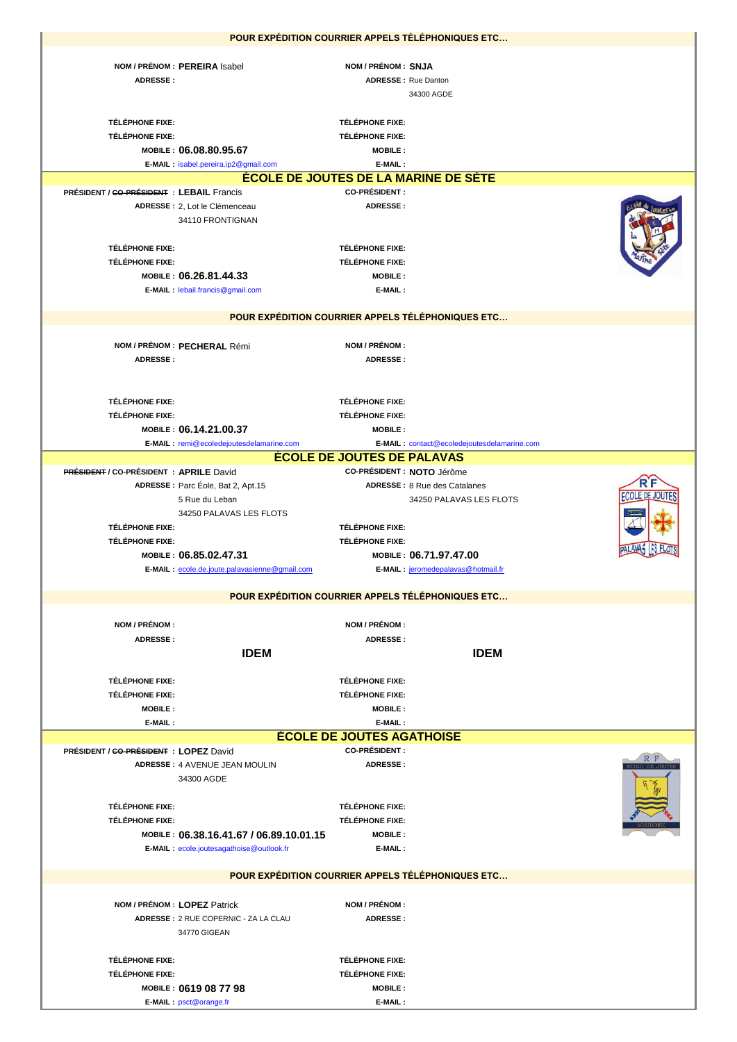|                                                |                                                   |                                          | POUR EXPÉDITION COURRIER APPELS TÉLÉPHONIQUES ETC |              |
|------------------------------------------------|---------------------------------------------------|------------------------------------------|---------------------------------------------------|--------------|
|                                                |                                                   |                                          |                                                   |              |
|                                                | NOM / PRÉNOM : PEREIRA Isabel                     | NOM / PRÉNOM : SNJA                      |                                                   |              |
| <b>ADRESSE:</b>                                |                                                   |                                          | <b>ADRESSE:</b> Rue Danton                        |              |
|                                                |                                                   |                                          | 34300 AGDE                                        |              |
|                                                |                                                   |                                          |                                                   |              |
| <b>TÉLÉPHONE FIXE:</b>                         |                                                   | <b>TÉLÉPHONE FIXE:</b>                   |                                                   |              |
| <b>TÉLÉPHONE FIXE:</b>                         |                                                   | TÉLÉPHONE FIXE:                          |                                                   |              |
|                                                | MOBILE: 06.08.80.95.67                            | <b>MOBILE:</b>                           |                                                   |              |
|                                                | E-MAIL: isabel.pereira.ip2@gmail.com              | E-MAIL:                                  |                                                   |              |
|                                                |                                                   |                                          | <b>ÉCOLE DE JOUTES DE LA MARINE DE SÉTE</b>       |              |
| PRÉSIDENT / GO-PRÉSIDENT : LEBAIL Francis      |                                                   | <b>CO-PRÉSIDENT:</b>                     |                                                   |              |
|                                                | ADRESSE : 2, Lot le Clémenceau                    | <b>ADRESSE:</b>                          |                                                   |              |
|                                                | 34110 FRONTIGNAN                                  |                                          |                                                   |              |
|                                                |                                                   |                                          |                                                   |              |
| <b>TÉLÉPHONE FIXE:</b>                         |                                                   | TÉLÉPHONE FIXE:                          |                                                   |              |
| TÉLÉPHONE FIXE:                                |                                                   | <b>TÉLÉPHONE FIXE:</b>                   |                                                   |              |
|                                                | MOBILE: 06.26.81.44.33                            | <b>MOBILE:</b>                           |                                                   |              |
|                                                |                                                   |                                          |                                                   |              |
|                                                | E-MAIL: lebail.francis@gmail.com                  | E-MAIL:                                  |                                                   |              |
|                                                | POUR EXPÉDITION COURRIER APPELS TÉLÉPHONIQUES ETC |                                          |                                                   |              |
|                                                |                                                   |                                          |                                                   |              |
|                                                |                                                   |                                          |                                                   |              |
|                                                | NOM / PRÉNOM : PECHERAL Rémi                      | NOM / PRÉNOM :                           |                                                   |              |
| <b>ADRESSE:</b>                                |                                                   | <b>ADRESSE:</b>                          |                                                   |              |
|                                                |                                                   |                                          |                                                   |              |
|                                                |                                                   |                                          |                                                   |              |
| TÉLÉPHONE FIXE:                                |                                                   | <b>TÉLÉPHONE FIXE:</b>                   |                                                   |              |
| <b>TÉLÉPHONE FIXE:</b>                         |                                                   | <b>TÉLÉPHONE FIXE:</b>                   |                                                   |              |
|                                                | MOBILE: 06.14.21.00.37                            | <b>MOBILE:</b>                           |                                                   |              |
|                                                | E-MAIL: remi@ecoledejoutesdelamarine.com          |                                          | E-MAIL: contact@ecoledejoutesdelamarine.com       |              |
|                                                |                                                   | <b>ECOLE DE JOUTES DE PALAVAS</b>        |                                                   |              |
| <b>PRÉSIDENT / CO-PRÉSIDENT : APRILE David</b> |                                                   |                                          | CO-PRÉSIDENT : NOTO Jérôme                        |              |
|                                                | ADRESSE: Parc Éole, Bat 2, Apt.15                 |                                          | <b>ADRESSE: 8 Rue des Catalanes</b>               |              |
|                                                | 5 Rue du Leban                                    |                                          | 34250 PALAVAS LES FLOTS                           | FCOLE DE JOU |
|                                                | 34250 PALAVAS LES FLOTS                           |                                          |                                                   |              |
| <b>TÉLÉPHONE FIXE:</b>                         |                                                   | TÉLÉPHONE FIXE:                          |                                                   |              |
|                                                |                                                   |                                          |                                                   |              |
| TÉLÉPHONE FIXE:                                |                                                   | TÉLÉPHONE FIXE:                          |                                                   |              |
|                                                | MOBILE: 06.85.02.47.31                            |                                          | MOBILE: 06.71.97.47.00                            |              |
|                                                | E-MAIL: ecole.de.joute.palavasienne@gmail.com     |                                          | E-MAIL: jeromedepalavas@hotmail.fr                |              |
|                                                |                                                   |                                          |                                                   |              |
|                                                | POUR EXPÉDITION COURRIER APPELS TÉLÉPHONIQUES ETC |                                          |                                                   |              |
|                                                |                                                   |                                          |                                                   |              |
| NOM / PRÉNOM :                                 |                                                   | NOM / PRÉNOM :                           |                                                   |              |
| ADRESSE:                                       |                                                   | ADRESSE:                                 |                                                   |              |
|                                                | <b>IDEM</b>                                       |                                          | <b>IDEM</b>                                       |              |
|                                                |                                                   |                                          |                                                   |              |
| <b>TÉLÉPHONE FIXE:</b>                         |                                                   | TÉLÉPHONE FIXE:                          |                                                   |              |
| <b>TÉLÉPHONE FIXE:</b>                         |                                                   | <b>TÉLÉPHONE FIXE:</b>                   |                                                   |              |
| <b>MOBILE:</b>                                 |                                                   | <b>MOBILE:</b>                           |                                                   |              |
| E-MAIL:                                        |                                                   | E-MAIL:                                  |                                                   |              |
|                                                |                                                   | <b>ÉCOLE DE JOUTES AGATHOISE</b>         |                                                   |              |
|                                                |                                                   | <b>CO-PRÉSIDENT:</b>                     |                                                   |              |
| PRÉSIDENT / GO-PRÉSIDENT : LOPEZ David         | ADRESSE: 4 AVENUE JEAN MOULIN                     | <b>ADRESSE:</b>                          |                                                   |              |
|                                                | 34300 AGDE                                        |                                          |                                                   |              |
|                                                |                                                   |                                          |                                                   |              |
|                                                |                                                   |                                          |                                                   |              |
| <b>TÉLÉPHONE FIXE:</b>                         |                                                   | TÉLÉPHONE FIXE:                          |                                                   |              |
| <b>TÉLÉPHONE FIXE:</b>                         |                                                   | <b>TÉLÉPHONE FIXE:</b><br><b>MOBILE:</b> |                                                   |              |
|                                                | MOBILE: 06.38.16.41.67 / 06.89.10.01.15           |                                          |                                                   |              |
|                                                | E-MAIL: ecole.joutesagathoise@outlook.fr          | E-MAIL:                                  |                                                   |              |
|                                                |                                                   |                                          | POUR EXPÉDITION COURRIER APPELS TÉLÉPHONIQUES ETC |              |
|                                                |                                                   |                                          |                                                   |              |
|                                                |                                                   |                                          |                                                   |              |
|                                                | NOM / PRÉNOM : LOPEZ Patrick                      | NOM / PRÉNOM :                           |                                                   |              |
|                                                | ADRESSE: 2 RUE COPERNIC - ZA LA CLAU              | <b>ADRESSE:</b>                          |                                                   |              |
|                                                | 34770 GIGEAN                                      |                                          |                                                   |              |
|                                                |                                                   |                                          |                                                   |              |
| <b>TÉLÉPHONE FIXE:</b>                         |                                                   | <b>TÉLÉPHONE FIXE:</b>                   |                                                   |              |
| <b>TÉLÉPHONE FIXE:</b>                         |                                                   | <b>TÉLÉPHONE FIXE:</b>                   |                                                   |              |
|                                                | MOBILE: 0619 08 77 98<br>E-MAIL: psct@orange.fr   | <b>MOBILE:</b><br>E-MAIL:                |                                                   |              |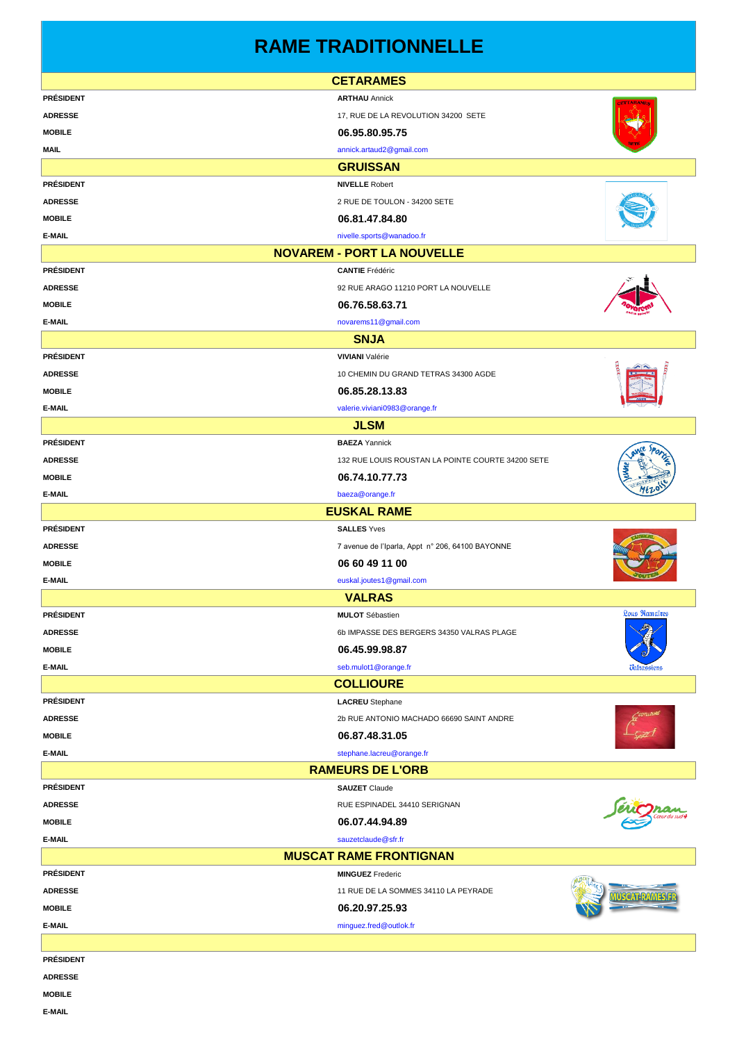# **RAME TRADITIONNELLE**

|                  | <b>CETARAMES</b>                                  |                      |
|------------------|---------------------------------------------------|----------------------|
| <b>PRÉSIDENT</b> | <b>ARTHAU Annick</b>                              |                      |
| <b>ADRESSE</b>   | 17, RUE DE LA REVOLUTION 34200 SETE               |                      |
| <b>MOBILE</b>    | 06.95.80.95.75                                    |                      |
| <b>MAIL</b>      | annick.artaud2@gmail.com                          |                      |
|                  | <b>GRUISSAN</b>                                   |                      |
| <b>PRÉSIDENT</b> | <b>NIVELLE</b> Robert                             |                      |
| <b>ADRESSE</b>   | 2 RUE DE TOULON - 34200 SETE                      |                      |
| <b>MOBILE</b>    | 06.81.47.84.80                                    |                      |
| E-MAIL           | nivelle.sports@wanadoo.fr                         |                      |
|                  | <b>NOVAREM - PORT LA NOUVELLE</b>                 |                      |
| <b>PRÉSIDENT</b> | <b>CANTIE</b> Frédéric                            |                      |
| <b>ADRESSE</b>   | 92 RUE ARAGO 11210 PORT LA NOUVELLE               |                      |
| <b>MOBILE</b>    | 06.76.58.63.71                                    |                      |
| E-MAIL           | novarems11@gmail.com                              |                      |
|                  | <b>SNJA</b>                                       |                      |
| <b>PRÉSIDENT</b> | <b>VIVIANI</b> Valérie                            |                      |
| <b>ADRESSE</b>   | 10 CHEMIN DU GRAND TETRAS 34300 AGDE              |                      |
| <b>MOBILE</b>    | 06.85.28.13.83                                    |                      |
| E-MAIL           | valerie.viviani0983@orange.fr                     |                      |
|                  | <b>JLSM</b>                                       |                      |
| <b>PRÉSIDENT</b> | <b>BAEZA</b> Yannick                              |                      |
| <b>ADRESSE</b>   | 132 RUE LOUIS ROUSTAN LA POINTE COURTE 34200 SETE |                      |
| <b>MOBILE</b>    | 06.74.10.77.73                                    |                      |
| E-MAIL           | baeza@orange.fr                                   |                      |
|                  | <b>EUSKAL RAME</b>                                |                      |
| <b>PRÉSIDENT</b> | <b>SALLES</b> Yves                                |                      |
| <b>ADRESSE</b>   | 7 avenue de l'Iparla, Appt n° 206, 64100 BAYONNE  |                      |
| <b>MOBILE</b>    | 06 60 49 11 00                                    |                      |
| E-MAIL           | euskal.joutes1@gmail.com                          |                      |
|                  | <b>VALRAS</b>                                     |                      |
| <b>PRÉSIDENT</b> | <b>MULOT</b> Sébastien                            | <b>Lous Ramaïres</b> |
| <b>ADRESSE</b>   | 6b IMPASSE DES BERGERS 34350 VALRAS PLAGE         |                      |
| <b>MOBILE</b>    | 06.45.99.98.87                                    |                      |
| E-MAIL           | seb.mulot1@orange.fr                              |                      |
|                  | <b>COLLIOURE</b>                                  |                      |
| <b>PRÉSIDENT</b> | <b>LACREU</b> Stephane                            |                      |
| <b>ADRESSE</b>   | 2b RUE ANTONIO MACHADO 66690 SAINT ANDRE          |                      |
|                  |                                                   |                      |
| <b>MOBILE</b>    | 06.87.48.31.05                                    |                      |
| E-MAIL           | stephane.lacreu@orange.fr                         |                      |
|                  | <b>RAMEURS DE L'ORB</b>                           |                      |
| <b>PRÉSIDENT</b> | <b>SAUZET</b> Claude                              |                      |
| <b>ADRESSE</b>   | RUE ESPINADEL 34410 SERIGNAN                      |                      |
| <b>MOBILE</b>    | 06.07.44.94.89                                    |                      |
| E-MAIL           | sauzetclaude@sfr.fr                               |                      |
|                  | <b>MUSCAT RAME FRONTIGNAN</b>                     |                      |
| <b>PRÉSIDENT</b> | <b>MINGUEZ</b> Frederic                           |                      |
| <b>ADRESSE</b>   | 11 RUE DE LA SOMMES 34110 LA PEYRADE              |                      |
| <b>MOBILE</b>    | 06.20.97.25.93                                    |                      |
| E-MAIL           | minguez.fred@outlok.fr                            |                      |
|                  |                                                   |                      |
| <b>PRÉSIDENT</b> |                                                   |                      |
| <b>ADRESSE</b>   |                                                   |                      |

**MOBILE**

**E-MAIL**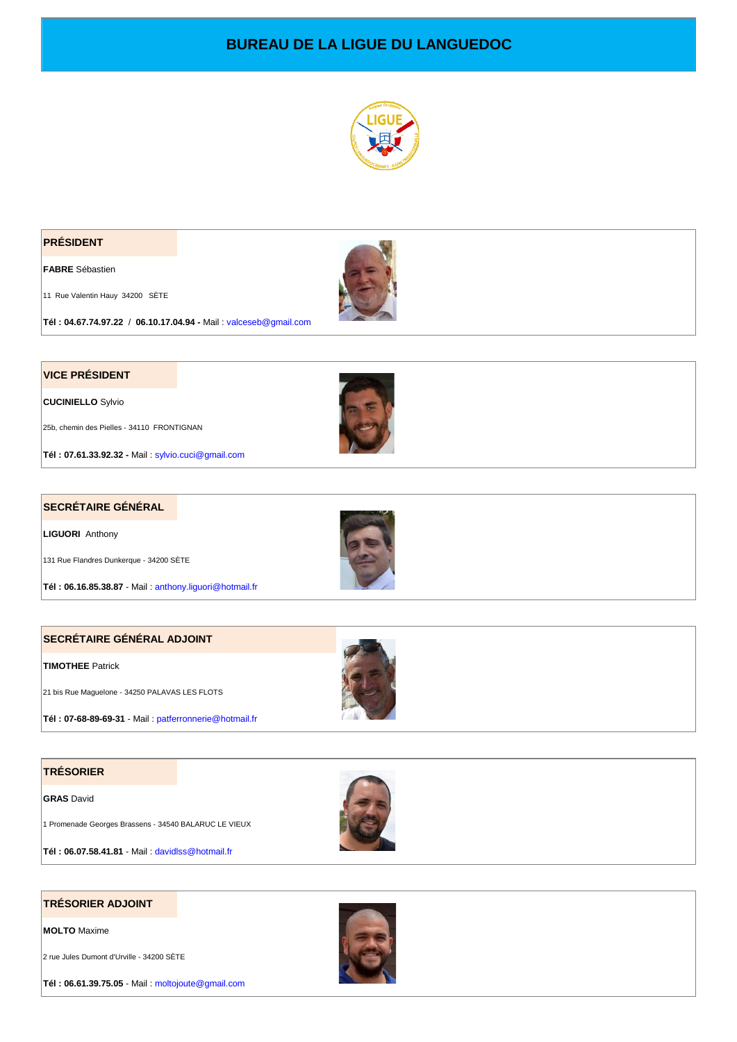# **BUREAU DE LA LIGUE DU LANGUEDOC**



#### **PRÉSIDENT**

**FABRE** Sébastien

11 Rue Valentin Hauy 34200 SÈTE



**Tél : 04.67.74.97.22** / **06.10.17.04.94 -** Mail : valceseb@gmail.com

### **VICE PRÉSIDENT**

**CUCINIELLO** Sylvio

25b, chemin des Pielles - 34110 FRONTIGNAN

**Tél : 07.61.33.92.32 -** Mail : sylvio.cuci@gmail.com

#### **SECRÉTAIRE GÉNÉRAL**

**LIGUORI** Anthony

131 Rue Flandres Dunkerque - 34200 SÈTE

**Tél : 06.16.85.38.87** - Mail : anthony.liguori@hotmail.fr

#### **SECRÉTAIRE GÉNÉRAL ADJOINT**

#### **TIMOTHEE** Patrick

21 bis Rue Maguelone - 34250 PALAVAS LES FLOTS

**Tél : 07-68-89-69-31** - Mail : patferronnerie@hotmail.fr

#### **TRÉSORIER**

**GRAS** David

1 Promenade Georges Brassens - 34540 BALARUC LE VIEUX





**MOLTO** Maxime

2 rue Jules Dumont d'Urville - 34200 SÈTE

**Tél : 06.61.39.75.05** - Mail : moltojoute@gmail.com





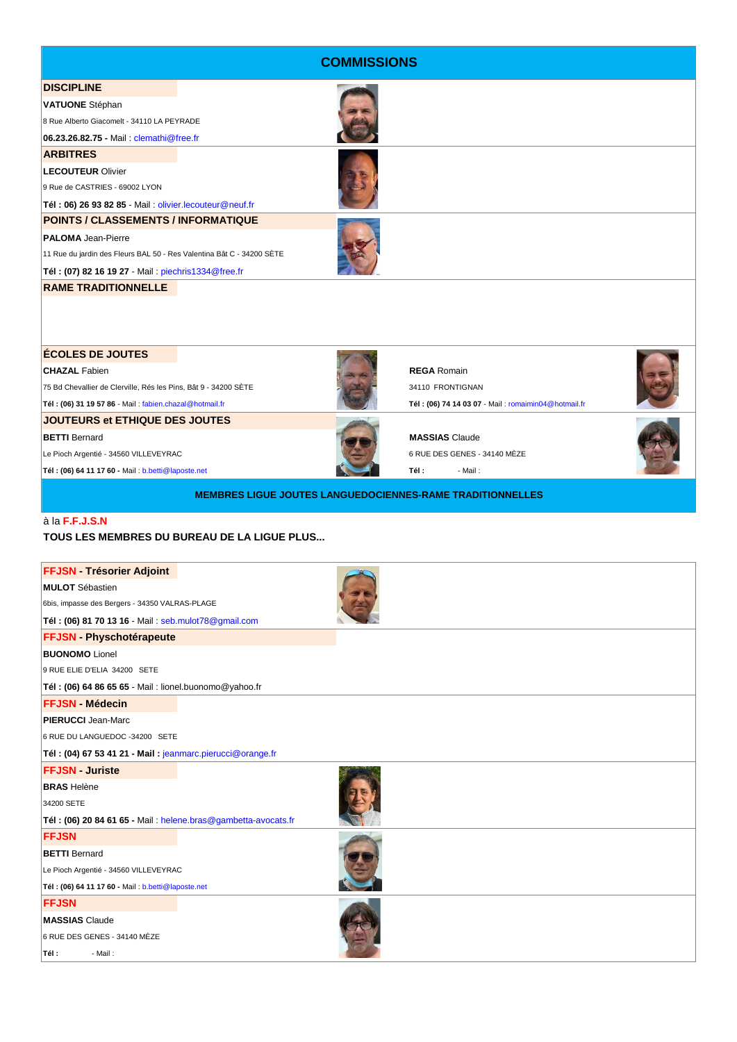| <b>COMMISSIONS</b>                                                    |  |  |                                                     |  |  |
|-----------------------------------------------------------------------|--|--|-----------------------------------------------------|--|--|
| <b>DISCIPLINE</b>                                                     |  |  |                                                     |  |  |
| <b>VATUONE</b> Stéphan                                                |  |  |                                                     |  |  |
| 8 Rue Alberto Giacomelt - 34110 LA PEYRADE                            |  |  |                                                     |  |  |
| 06.23.26.82.75 - Mail: clemathi@free.fr                               |  |  |                                                     |  |  |
| <b>ARBITRES</b>                                                       |  |  |                                                     |  |  |
| <b>LECOUTEUR Olivier</b>                                              |  |  |                                                     |  |  |
| 9 Rue de CASTRIES - 69002 LYON                                        |  |  |                                                     |  |  |
| Tél: 06) 26 93 82 85 - Mail: olivier.lecouteur@neuf.fr                |  |  |                                                     |  |  |
| POINTS / CLASSEMENTS / INFORMATIQUE                                   |  |  |                                                     |  |  |
| <b>PALOMA</b> Jean-Pierre                                             |  |  |                                                     |  |  |
| 11 Rue du jardin des Fleurs BAL 50 - Res Valentina Bât C - 34200 SÈTE |  |  |                                                     |  |  |
| Tél: (07) 82 16 19 27 - Mail: piechris1334@free.fr                    |  |  |                                                     |  |  |
| <b>RAME TRADITIONNELLE</b>                                            |  |  |                                                     |  |  |
|                                                                       |  |  |                                                     |  |  |
| <b>ÉCOLES DE JOUTES</b>                                               |  |  |                                                     |  |  |
| <b>CHAZAL Fabien</b>                                                  |  |  | <b>REGA Romain</b>                                  |  |  |
| 75 Bd Chevallier de Clerville, Rés les Pins, Bât 9 - 34200 SÈTE       |  |  | 34110 FRONTIGNAN                                    |  |  |
| Tél: (06) 31 19 57 86 - Mail: fabien.chazal@hotmail.fr                |  |  | Tél: (06) 74 14 03 07 - Mail: romaimin04@hotmail.fr |  |  |
| <b>JOUTEURS et ETHIQUE DES JOUTES</b>                                 |  |  |                                                     |  |  |
| <b>BETTI</b> Bernard                                                  |  |  | <b>MASSIAS Claude</b>                               |  |  |
| Le Pioch Argentié - 34560 VILLEVEYRAC                                 |  |  | 6 RUE DES GENES - 34140 MÈZE                        |  |  |
| Tél: (06) 64 11 17 60 - Mail: b.betti@laposte.net                     |  |  | Tél :<br>- Mail:                                    |  |  |
| <b>MEMBRES LIGUE JOUTES LANGUEDOCIENNES-RAME TRADITIONNELLES</b>      |  |  |                                                     |  |  |

# à la **F.F.J.S.N**

## **TOUS LES MEMBRES DU BUREAU DE LA LIGUE PLUS...**

| <b>FFJSN - Trésorier Adjoint</b>                              |  |
|---------------------------------------------------------------|--|
| <b>MULOT</b> Sébastien                                        |  |
| 6bis, impasse des Bergers - 34350 VALRAS-PLAGE                |  |
| Tél: (06) 81 70 13 16 - Mail: seb.mulot78@gmail.com           |  |
| <b>FFJSN - Physchotérapeute</b>                               |  |
| <b>BUONOMO</b> Lionel                                         |  |
| 9 RUE ELIE D'ELIA 34200 SETE                                  |  |
| Tél: (06) 64 86 65 65 - Mail: lionel.buonomo@yahoo.fr         |  |
| <b>FFJSN - Médecin</b>                                        |  |
| <b>PIERUCCI</b> Jean-Marc                                     |  |
| 6 RUE DU LANGUEDOC -34200 SETE                                |  |
| Tél: (04) 67 53 41 21 - Mail: jeanmarc.pierucci@orange.fr     |  |
| <b>FFJSN - Juriste</b>                                        |  |
| <b>BRAS</b> Helène                                            |  |
| 34200 SETE                                                    |  |
| Tél: (06) 20 84 61 65 - Mail: helene.bras@gambetta-avocats.fr |  |
| <b>FFJSN</b>                                                  |  |
| <b>BETTI</b> Bernard                                          |  |
| Le Pioch Argentié - 34560 VILLEVEYRAC                         |  |
| Tél: (06) 64 11 17 60 - Mail: b.betti@laposte.net             |  |
| <b>FFJSN</b>                                                  |  |
| <b>MASSIAS</b> Claude                                         |  |
| 6 RUE DES GENES - 34140 MÈZE                                  |  |
| Tél :<br>- Mail:                                              |  |